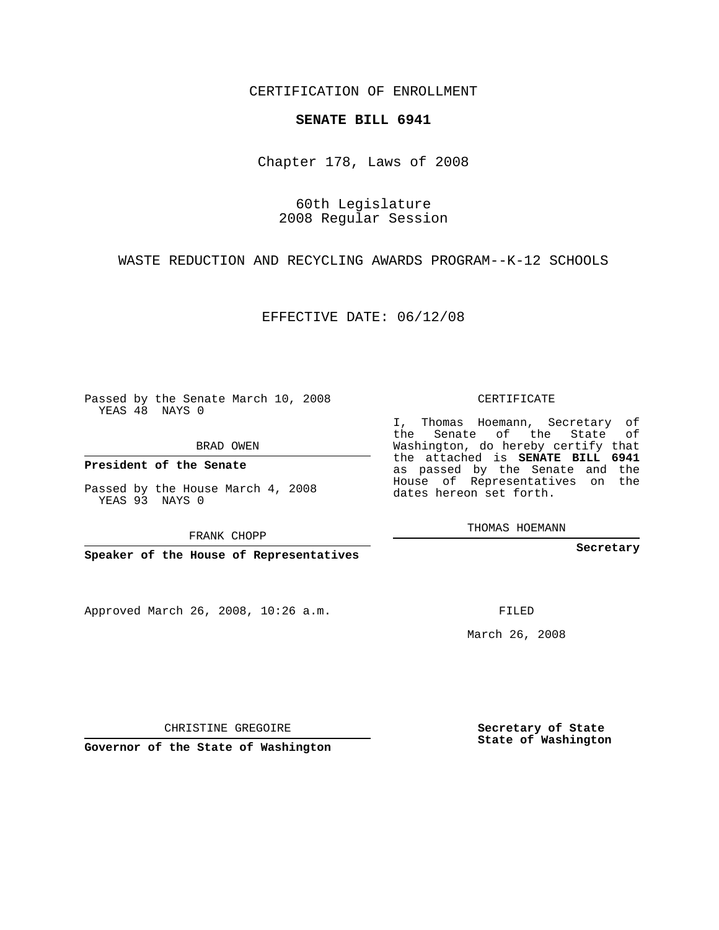CERTIFICATION OF ENROLLMENT

## **SENATE BILL 6941**

Chapter 178, Laws of 2008

60th Legislature 2008 Regular Session

WASTE REDUCTION AND RECYCLING AWARDS PROGRAM--K-12 SCHOOLS

EFFECTIVE DATE: 06/12/08

Passed by the Senate March 10, 2008 YEAS 48 NAYS 0

BRAD OWEN

**President of the Senate**

Passed by the House March 4, 2008 YEAS 93 NAYS 0

FRANK CHOPP

**Speaker of the House of Representatives**

Approved March 26, 2008, 10:26 a.m.

CERTIFICATE

I, Thomas Hoemann, Secretary of the Senate of the State of Washington, do hereby certify that the attached is **SENATE BILL 6941** as passed by the Senate and the House of Representatives on the dates hereon set forth.

THOMAS HOEMANN

**Secretary**

FILED

March 26, 2008

**Secretary of State State of Washington**

CHRISTINE GREGOIRE

**Governor of the State of Washington**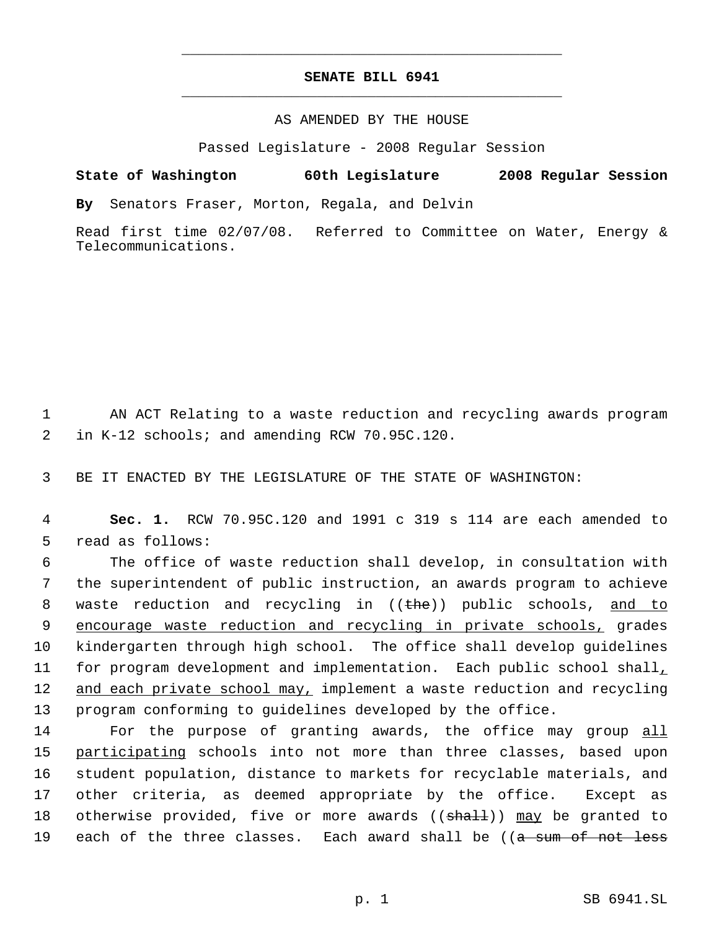## **SENATE BILL 6941** \_\_\_\_\_\_\_\_\_\_\_\_\_\_\_\_\_\_\_\_\_\_\_\_\_\_\_\_\_\_\_\_\_\_\_\_\_\_\_\_\_\_\_\_\_

\_\_\_\_\_\_\_\_\_\_\_\_\_\_\_\_\_\_\_\_\_\_\_\_\_\_\_\_\_\_\_\_\_\_\_\_\_\_\_\_\_\_\_\_\_

## AS AMENDED BY THE HOUSE

Passed Legislature - 2008 Regular Session

**State of Washington 60th Legislature 2008 Regular Session**

**By** Senators Fraser, Morton, Regala, and Delvin

Read first time 02/07/08. Referred to Committee on Water, Energy & Telecommunications.

 1 AN ACT Relating to a waste reduction and recycling awards program 2 in K-12 schools; and amending RCW 70.95C.120.

3 BE IT ENACTED BY THE LEGISLATURE OF THE STATE OF WASHINGTON:

 4 **Sec. 1.** RCW 70.95C.120 and 1991 c 319 s 114 are each amended to 5 read as follows:

 6 The office of waste reduction shall develop, in consultation with 7 the superintendent of public instruction, an awards program to achieve 8 waste reduction and recycling in ((the)) public schools, and to 9 encourage waste reduction and recycling in private schools, grades 10 kindergarten through high school. The office shall develop guidelines 11 for program development and implementation. Each public school shall, 12 and each private school may, implement a waste reduction and recycling 13 program conforming to guidelines developed by the office.

14 For the purpose of granting awards, the office may group all 15 participating schools into not more than three classes, based upon 16 student population, distance to markets for recyclable materials, and 17 other criteria, as deemed appropriate by the office. Except as 18 otherwise provided, five or more awards ((shall)) may be granted to 19 each of the three classes. Each award shall be ((a sum of not less